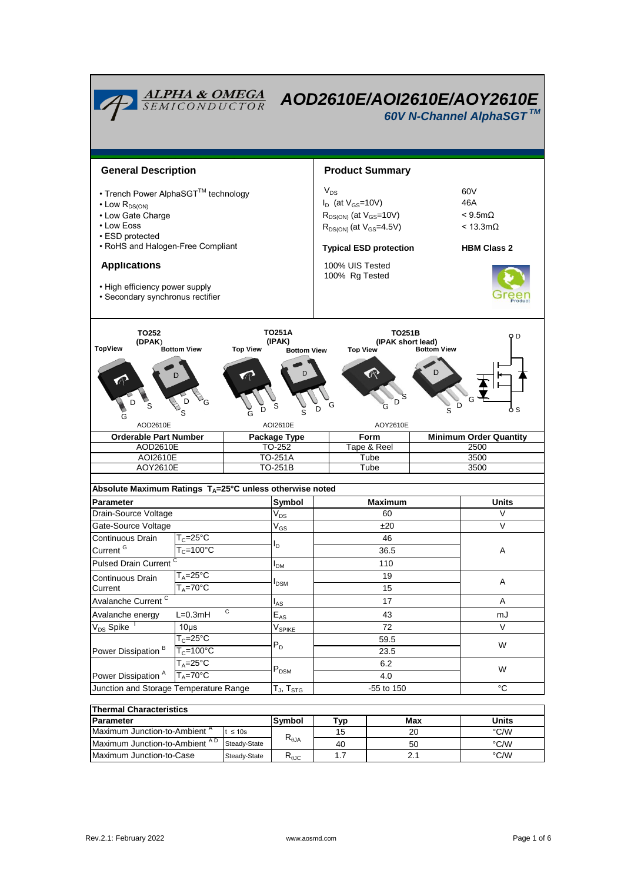

| l Thermal Characteristics                 |              |                |     |     |       |  |  |  |  |
|-------------------------------------------|--------------|----------------|-----|-----|-------|--|--|--|--|
| <b>Parameter</b>                          |              | Symbol         | ™vp | Max | Units |  |  |  |  |
| IMaximum Junction-to-Ambient <sup>A</sup> | $t \leq 10s$ |                | 15  | 20  | °C/W  |  |  |  |  |
| Maximum Junction-to-Ambient AD            | Steady-State | $R_{\theta$ JA | 40  | 50  | °C/W  |  |  |  |  |
| l Maximum Junction-to-Case                | Steady-State | <b>K</b> AJC   |     |     | °C/W  |  |  |  |  |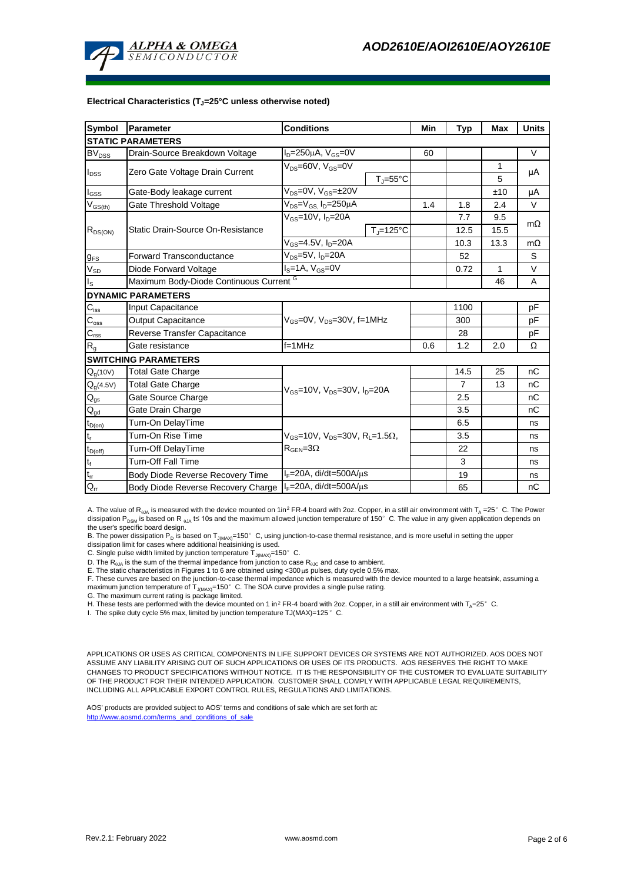

#### **Electrical Characteristics (TJ=25°C unless otherwise noted)**

| <b>Symbol</b>               | Parameter<br><b>Conditions</b>                             |                                                                            | Min | <b>Typ</b>     | <b>Max</b>   | <b>Units</b> |  |  |  |  |  |
|-----------------------------|------------------------------------------------------------|----------------------------------------------------------------------------|-----|----------------|--------------|--------------|--|--|--|--|--|
| <b>STATIC PARAMETERS</b>    |                                                            |                                                                            |     |                |              |              |  |  |  |  |  |
| <b>BV</b> <sub>DSS</sub>    | Drain-Source Breakdown Voltage                             | $ID=250\mu A$ , $VGS=0V$                                                   | 60  |                |              | V            |  |  |  |  |  |
| $I_{DSS}$                   |                                                            | $V_{DS} = 60V$ , $V_{GS} = 0V$                                             |     |                | 1            | μA           |  |  |  |  |  |
|                             | Zero Gate Voltage Drain Current                            | $T_i = 55^{\circ}C$                                                        |     |                | 5            |              |  |  |  |  |  |
| $I_{GSS}$                   | Gate-Body leakage current                                  | $V_{DS} = 0V$ , $V_{GS} = \pm 20V$                                         |     |                | ±10          | μA           |  |  |  |  |  |
| $V_{GS(th)}$                | Gate Threshold Voltage                                     | $V_{DS} = V_{GS}$ , $I_D = 250 \mu A$                                      | 1.4 | 1.8            | 2.4          | V            |  |  |  |  |  |
| $R_{DS(ON)}$                | Static Drain-Source On-Resistance                          | $V_{GS}$ =10V, $I_D$ =20A                                                  |     | 7.7            | 9.5          | $m\Omega$    |  |  |  |  |  |
|                             |                                                            | $T_{\rm J}$ =125°C                                                         |     | 12.5           | 15.5         |              |  |  |  |  |  |
|                             |                                                            | $V_{GS} = 4.5V, I_D = 20A$                                                 |     | 10.3           | 13.3         | $m\Omega$    |  |  |  |  |  |
| $g_{FS}$                    | <b>Forward Transconductance</b>                            | $V_{DS}=5V$ , $I_D=20A$                                                    |     | 52             |              | S            |  |  |  |  |  |
| $V_{SD}$                    | Diode Forward Voltage                                      | $IS=1A, VGS=0V$                                                            |     | 0.72           | $\mathbf{1}$ | V            |  |  |  |  |  |
| $I_{\rm S}$                 | Maximum Body-Diode Continuous Current G                    |                                                                            |     | 46             | A            |              |  |  |  |  |  |
| <b>DYNAMIC PARAMETERS</b>   |                                                            |                                                                            |     |                |              |              |  |  |  |  |  |
| $C_{\text{iss}}$            | Input Capacitance                                          |                                                                            |     | 1100           |              | pF           |  |  |  |  |  |
| $\mathsf{C}_{\mathsf{oss}}$ | <b>Output Capacitance</b>                                  | $V_{GS}$ =0V, $V_{DS}$ =30V, f=1MHz                                        |     | 300            |              | рF           |  |  |  |  |  |
| $\mathbf{C}_{\text{rss}}$   | Reverse Transfer Capacitance                               |                                                                            |     | 28             |              | pF           |  |  |  |  |  |
| $R_{q}$                     | Gate resistance                                            | $f = 1$ MHz                                                                | 0.6 | 1.2            | 2.0          | Ω            |  |  |  |  |  |
| <b>SWITCHING PARAMETERS</b> |                                                            |                                                                            |     |                |              |              |  |  |  |  |  |
| $Q_q(10V)$                  | <b>Total Gate Charge</b>                                   |                                                                            |     | 14.5           | 25           | nC           |  |  |  |  |  |
| $Q_q(4.5V)$                 | <b>Total Gate Charge</b>                                   | $V_{GS}$ =10V, $V_{DS}$ =30V, $I_{D}$ =20A                                 |     | $\overline{7}$ | 13           | nC           |  |  |  |  |  |
| $Q_{gs}$                    | Gate Source Charge                                         |                                                                            |     | 2.5            |              | nC           |  |  |  |  |  |
| $\mathsf{Q}_{\text{gd}}$    | Gate Drain Charge                                          |                                                                            |     | 3.5            |              | nC           |  |  |  |  |  |
| $t_{D(0n)}$                 | Turn-On DelayTime                                          |                                                                            |     | 6.5            |              | ns           |  |  |  |  |  |
| t,                          | Turn-On Rise Time                                          | $V_{\text{GS}}$ =10V, $V_{\text{DS}}$ =30V, R <sub>1</sub> =1.5 $\Omega$ , |     | 3.5            |              | ns           |  |  |  |  |  |
| $t_{D(off)}$                | <b>Turn-Off DelayTime</b>                                  | $R_{\text{GEN}} = 3\Omega$                                                 |     | 22             |              | ns           |  |  |  |  |  |
| $\mathfrak{t}_{\mathsf{f}}$ | <b>Turn-Off Fall Time</b>                                  |                                                                            |     | 3              |              | ns           |  |  |  |  |  |
| $t_{rr}$                    | Body Diode Reverse Recovery Time                           | $I_F = 20A$ , di/dt=500A/ $\mu$ s                                          |     | 19             |              | ns           |  |  |  |  |  |
| $Q_{rr}$                    | Body Diode Reverse Recovery Charge   IF=20A, di/dt=500A/µs |                                                                            |     | 65             |              | nC           |  |  |  |  |  |

A. The value of R<sub>0JA</sub> is measured with the device mounted on 1in<sup>2</sup> FR-4 board with 2oz. Copper, in a still air environment with T<sub>A</sub> =25°C. The Power dissipation P<sub>DSM</sub> is based on R <sub>0JA</sub> t≤ 10s and the maximum allowed junction temperature of 150°C. The value in any given application depends on the user's specific board design.

B. The power dissipation P<sub>D</sub> is based on T<sub>J(MAX)</sub>=150°C, using junction-to-case thermal resistance, and is more useful in setting the upper<br>dissipation limit for cases where additional heatsinking is used.

C. Single pulse width limited by junction temperature  $\overline{T}_{J(MAX)}$ =150°C.

D. The  $R_{q,1A}$  is the sum of the thermal impedance from junction to case  $R_{q,1C}$  and case to ambient.

E. The static characteristics in Figures 1 to 6 are obtained using <300  $\mu$ s pulses, duty cycle 0.5% max.

F. These curves are based on the junction-to-case thermal impedance which is measured with the device mounted to a large heatsink, assuming a<br>maximum junction temperature of T<sub>JMAX)</sub>=150°C. The SOA curve provides a single

G. The maximum current rating is package limited.

H. These tests are performed with the device mounted on 1 in<sup>2</sup> FR-4 board with 2oz. Copper, in a still air environment with T<sub>A</sub>=25°C.

I. The spike duty cycle 5% max, limited by junction temperature TJ(MAX)=125°C.

APPLICATIONS OR USES AS CRITICAL COMPONENTS IN LIFE SUPPORT DEVICES OR SYSTEMS ARE NOT AUTHORIZED. AOS DOES NOT ASSUME ANY LIABILITY ARISING OUT OF SUCH APPLICATIONS OR USES OF ITS PRODUCTS. AOS RESERVES THE RIGHT TO MAKE CHANGES TO PRODUCT SPECIFICATIONS WITHOUT NOTICE. IT IS THE RESPONSIBILITY OF THE CUSTOMER TO EVALUATE SUITABILITY OF THE PRODUCT FOR THEIR INTENDED APPLICATION. CUSTOMER SHALL COMPLY WITH APPLICABLE LEGAL REQUIREMENTS, INCLUDING ALL APPLICABLE EXPORT CONTROL RULES, REGULATIONS AND LIMITATIONS.

AOS' products are provided subject to AOS' terms and conditions of sale which are set forth at: http://www.aosmd.com/terms\_and\_conditions\_of\_sal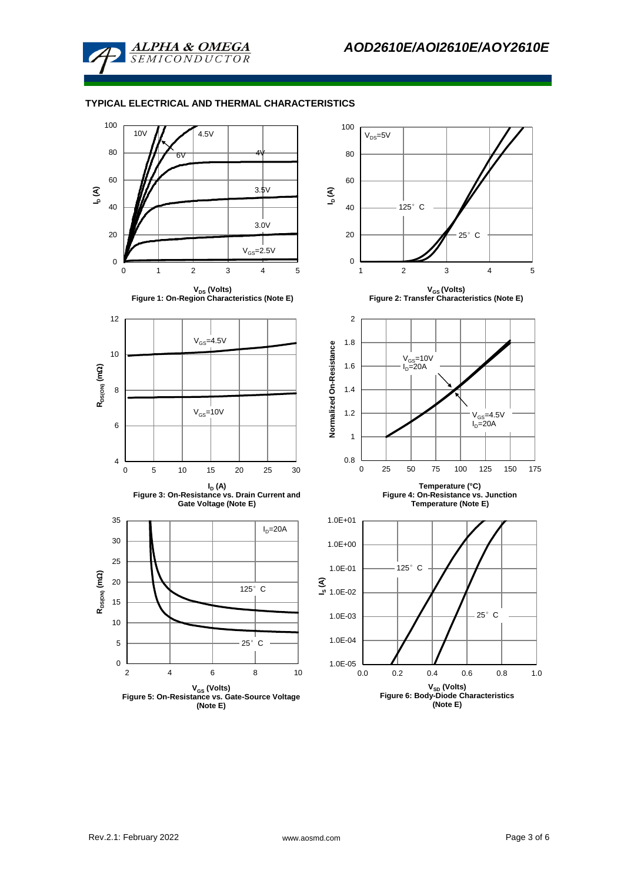

**ALPHA & OMEGA** *SEMICONDUCTOR* 

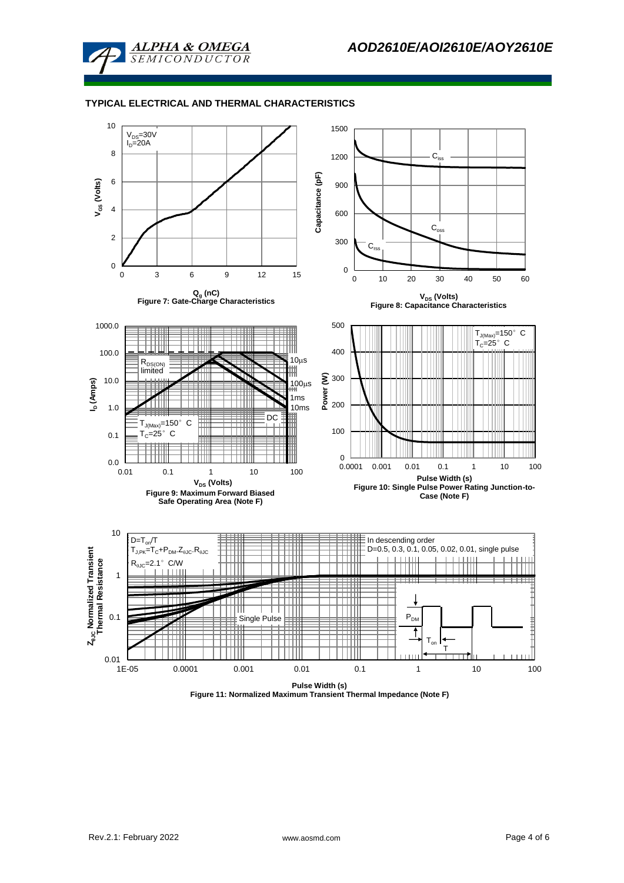

# **TYPICAL ELECTRICAL AND THERMAL CHARACTERISTICS**



**Figure 11: Normalized Maximum Transient Thermal Impedance (Note F)**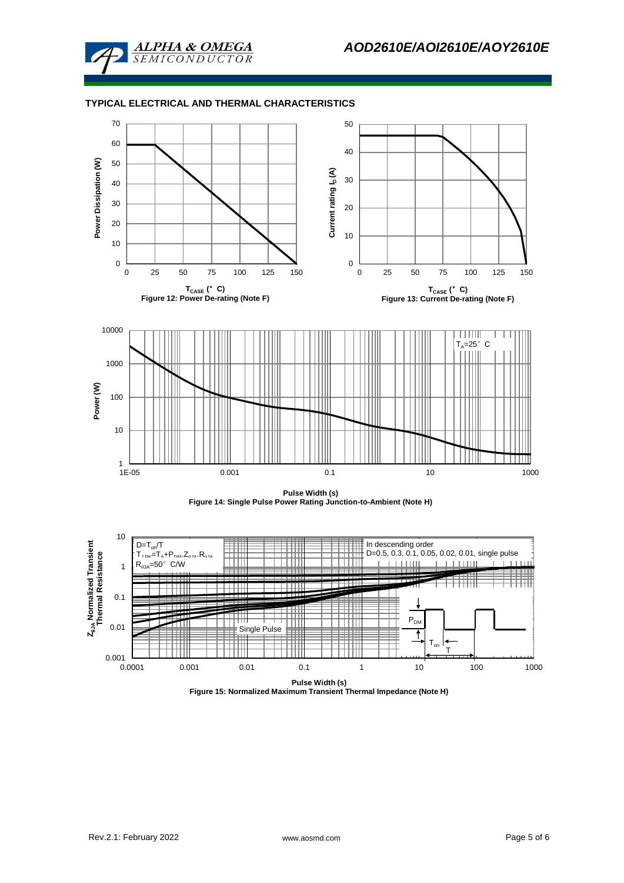

## **TYPICAL ELECTRICAL AND THERMAL CHARACTERISTICS**